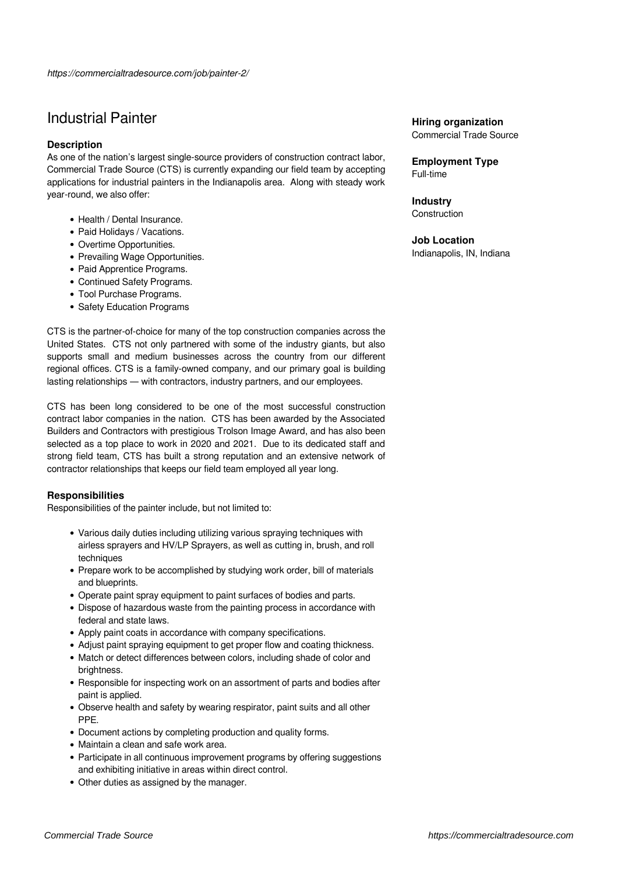# Industrial Painter

### **Description**

As one of the nation's largest single-source providers of construction contract labor, Commercial Trade Source (CTS) is currently expanding our field team by accepting applications for industrial painters in the Indianapolis area. Along with steady work year-round, we also offer:

- Health / Dental Insurance.
- Paid Holidays / Vacations.
- Overtime Opportunities.
- Prevailing Wage Opportunities.
- Paid Apprentice Programs.
- Continued Safety Programs.
- Tool Purchase Programs.
- Safety Education Programs

CTS is the partner-of-choice for many of the top construction companies across the United States. CTS not only partnered with some of the industry giants, but also supports small and medium businesses across the country from our different regional offices. CTS is a family-owned company, and our primary goal is building lasting relationships — with contractors, industry partners, and our employees.

CTS has been long considered to be one of the most successful construction contract labor companies in the nation. CTS has been awarded by the Associated Builders and Contractors with prestigious Trolson Image Award, and has also been selected as a top place to work in 2020 and 2021. Due to its dedicated staff and strong field team, CTS has built a strong reputation and an extensive network of contractor relationships that keeps our field team employed all year long.

### **Responsibilities**

Responsibilities of the painter include, but not limited to:

- Various daily duties including utilizing various spraying techniques with airless sprayers and HV/LP Sprayers, as well as cutting in, brush, and roll techniques
- Prepare work to be accomplished by studying work order, bill of materials and blueprints.
- Operate paint spray equipment to paint surfaces of bodies and parts.
- Dispose of hazardous waste from the painting process in accordance with federal and state laws.
- Apply paint coats in accordance with company specifications.
- Adjust paint spraying equipment to get proper flow and coating thickness.
- Match or detect differences between colors, including shade of color and brightness.
- Responsible for inspecting work on an assortment of parts and bodies after paint is applied.
- Observe health and safety by wearing respirator, paint suits and all other PPE.
- Document actions by completing production and quality forms.
- Maintain a clean and safe work area.
- Participate in all continuous improvement programs by offering suggestions and exhibiting initiative in areas within direct control.
- Other duties as assigned by the manager.

## **Hiring organization**

Commercial Trade Source

**Employment Type** Full-time

**Industry Construction** 

### **Job Location**

Indianapolis, IN, Indiana